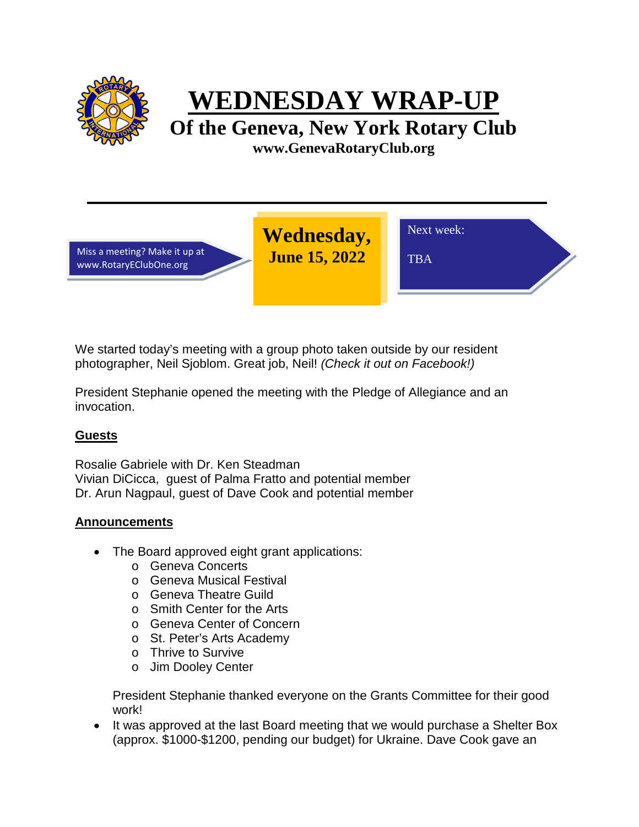

**WEDNESDAY WRAP-UP**

**Of the Geneva, New York Rotary Club www.GenevaRotaryClub.org**

Miss a meeting? Make it up at www.RotaryEClubOne.org

**Wednesday, June 15, 2022** 

TBA

Next week:

We started today's meeting with a group photo taken outside by our resident photographer, Neil Sjoblom. Great job, Neil! *(Check it out on Facebook!)*

President Stephanie opened the meeting with the Pledge of Allegiance and an invocation.

## **Guests**

Rosalie Gabriele with Dr. Ken Steadman Vivian DiCicca, guest of Palma Fratto and potential member Dr. Arun Nagpaul, guest of Dave Cook and potential member

## **Announcements**

- The Board approved eight grant applications:
	- o Geneva Concerts
	- o Geneva Musical Festival
	- o Geneva Theatre Guild
	- o Smith Center for the Arts
	- o Geneva Center of Concern
	- o St. Peter's Arts Academy
	- o Thrive to Survive
	- o Jim Dooley Center

President Stephanie thanked everyone on the Grants Committee for their good work!

• It was approved at the last Board meeting that we would purchase a Shelter Box (approx. \$1000-\$1200, pending our budget) for Ukraine. Dave Cook gave an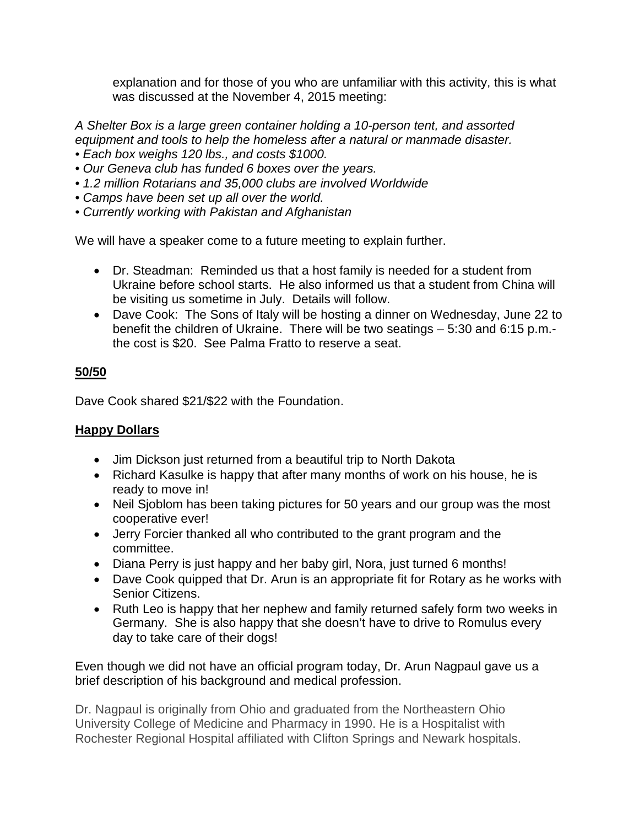explanation and for those of you who are unfamiliar with this activity, this is what was discussed at the November 4, 2015 meeting:

*A Shelter Box is a large green container holding a 10-person tent, and assorted equipment and tools to help the homeless after a natural or manmade disaster.*

- *Each box weighs 120 lbs., and costs \$1000.*
- *Our Geneva club has funded 6 boxes over the years.*
- *1.2 million Rotarians and 35,000 clubs are involved Worldwide*
- *Camps have been set up all over the world.*
- *Currently working with Pakistan and Afghanistan*

We will have a speaker come to a future meeting to explain further.

- Dr. Steadman: Reminded us that a host family is needed for a student from Ukraine before school starts. He also informed us that a student from China will be visiting us sometime in July. Details will follow.
- Dave Cook: The Sons of Italy will be hosting a dinner on Wednesday, June 22 to benefit the children of Ukraine. There will be two seatings – 5:30 and 6:15 p.m. the cost is \$20. See Palma Fratto to reserve a seat.

# **50/50**

Dave Cook shared \$21/\$22 with the Foundation.

## **Happy Dollars**

- Jim Dickson just returned from a beautiful trip to North Dakota
- Richard Kasulke is happy that after many months of work on his house, he is ready to move in!
- Neil Sjoblom has been taking pictures for 50 years and our group was the most cooperative ever!
- Jerry Forcier thanked all who contributed to the grant program and the committee.
- Diana Perry is just happy and her baby girl, Nora, just turned 6 months!
- Dave Cook quipped that Dr. Arun is an appropriate fit for Rotary as he works with Senior Citizens.
- Ruth Leo is happy that her nephew and family returned safely form two weeks in Germany. She is also happy that she doesn't have to drive to Romulus every day to take care of their dogs!

Even though we did not have an official program today, Dr. Arun Nagpaul gave us a brief description of his background and medical profession.

Dr. Nagpaul is originally from Ohio and graduated from the Northeastern Ohio University College of Medicine and Pharmacy in 1990. He is a Hospitalist with Rochester Regional Hospital affiliated with Clifton Springs and Newark hospitals.